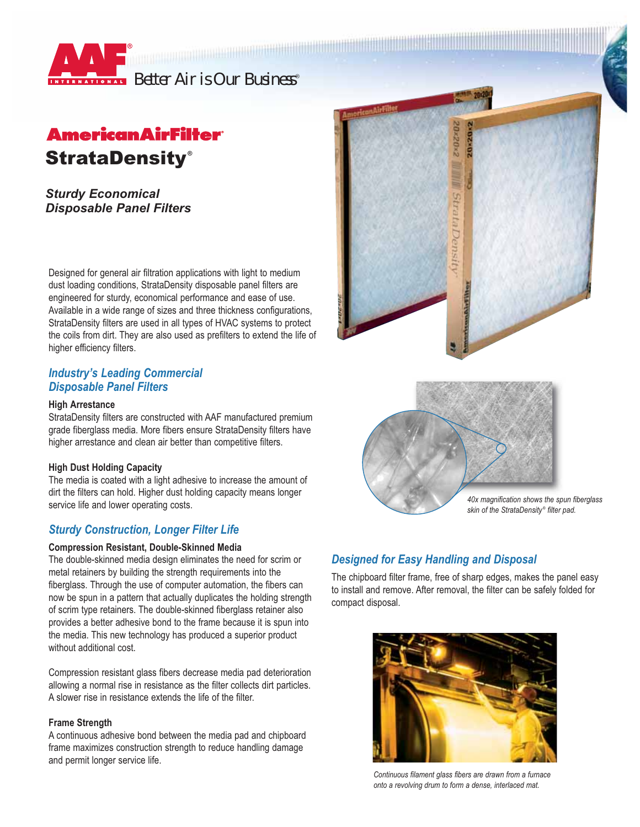

# **American AirFilter** StrataDensity **®**

*Sturdy Economical Disposable Panel Filters*

Designed for general air filtration applications with light to medium dust loading conditions, StrataDensity disposable panel filters are engineered for sturdy, economical performance and ease of use. Available in a wide range of sizes and three thickness configurations, StrataDensity filters are used in all types of HVAC systems to protect the coils from dirt. They are also used as prefilters to extend the life of higher efficiency filters.

## *Industry's Leading Commercial Disposable Panel Filters*

### **High Arrestance**

StrataDensity filters are constructed with AAF manufactured premium grade fiberglass media. More fibers ensure StrataDensity filters have higher arrestance and clean air better than competitive filters.

### **High Dust Holding Capacity**

The media is coated with a light adhesive to increase the amount of dirt the filters can hold. Higher dust holding capacity means longer service life and lower operating costs.

# *Sturdy Construction, Longer Filter Life*

### **Compression Resistant, Double-Skinned Media**

The double-skinned media design eliminates the need for scrim or metal retainers by building the strength requirements into the fiberglass. Through the use of computer automation, the fibers can now be spun in a pattern that actually duplicates the holding strength of scrim type retainers. The double-skinned fiberglass retainer also provides a better adhesive bond to the frame because it is spun into the media. This new technology has produced a superior product without additional cost.

Compression resistant glass fibers decrease media pad deterioration allowing a normal rise in resistance as the filter collects dirt particles. A slower rise in resistance extends the life of the filter.

### **Frame Strength**

A continuous adhesive bond between the media pad and chipboard frame maximizes construction strength to reduce handling damage and permit longer service life.





# *Designed for Easy Handling and Disposal*

The chipboard filter frame, free of sharp edges, makes the panel easy to install and remove. After removal, the filter can be safely folded for compact disposal.



*Continuous filament glass fibers are drawn from a furnace onto a revolving drum to form a dense, interlaced mat.*